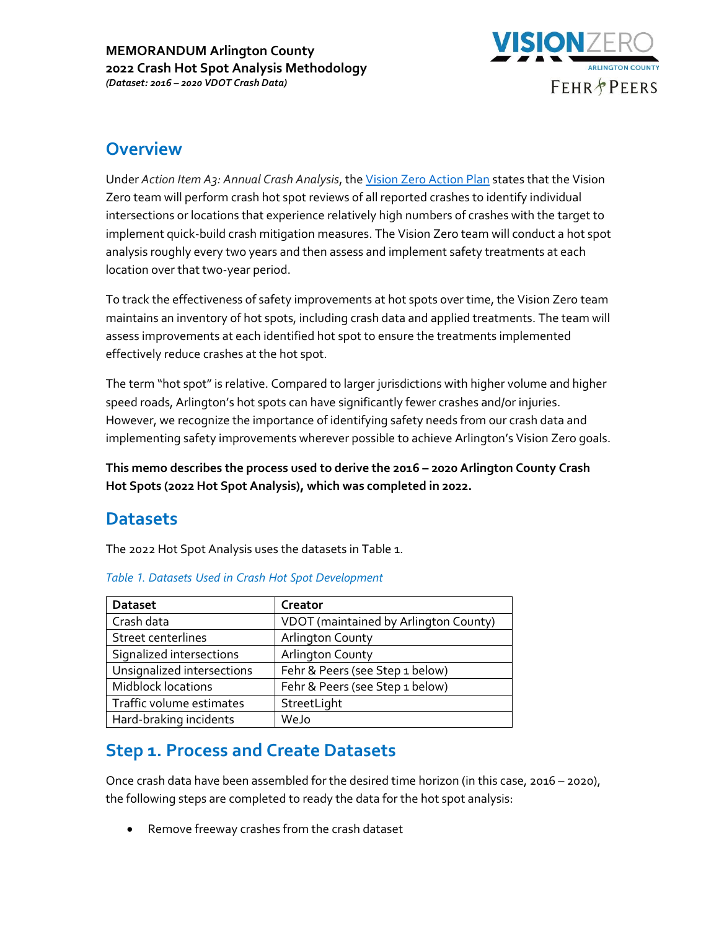

### **Overview**

Under *Action Item A3: Annual Crash Analysis*, the [Vision Zero Action Plan](https://www.arlingtonva.us/files/sharedassets/public/Transportation/Documents/Action-Plan_revised_draft_v3.pdf) states that the Vision Zero team will perform crash hot spot reviews of all reported crashes to identify individual intersections or locations that experience relatively high numbers of crashes with the target to implement quick-build crash mitigation measures. The Vision Zero team will conduct a hot spot analysis roughly every two years and then assess and implement safety treatments at each location over that two-year period.

To track the effectiveness of safety improvements at hot spots over time, the Vision Zero team maintains an inventory of hot spots, including crash data and applied treatments. The team will assess improvements at each identified hot spot to ensure the treatments implemented effectively reduce crashes at the hot spot.

The term "hot spot" is relative. Compared to larger jurisdictions with higher volume and higher speed roads, Arlington's hot spots can have significantly fewer crashes and/or injuries. However, we recognize the importance of identifying safety needs from our crash data and implementing safety improvements wherever possible to achieve Arlington's Vision Zero goals.

**This memo describes the process used to derive the 2016 – 2020 Arlington County Crash Hot Spots (2022 Hot Spot Analysis), which was completed in 2022.** 

#### **Datasets**

The 2022 Hot Spot Analysis uses the datasets in Table 1.

| <b>Dataset</b>             | Creator                               |  |
|----------------------------|---------------------------------------|--|
| Crash data                 | VDOT (maintained by Arlington County) |  |
| Street centerlines         | <b>Arlington County</b>               |  |
| Signalized intersections   | <b>Arlington County</b>               |  |
| Unsignalized intersections | Fehr & Peers (see Step 1 below)       |  |
| <b>Midblock locations</b>  | Fehr & Peers (see Step 1 below)       |  |
| Traffic volume estimates   | StreetLight                           |  |
| Hard-braking incidents     | WeJo                                  |  |

#### *Table 1. Datasets Used in Crash Hot Spot Development*

# **Step 1. Process and Create Datasets**

Once crash data have been assembled for the desired time horizon (in this case, 2016 – 2020), the following steps are completed to ready the data for the hot spot analysis:

• Remove freeway crashes from the crash dataset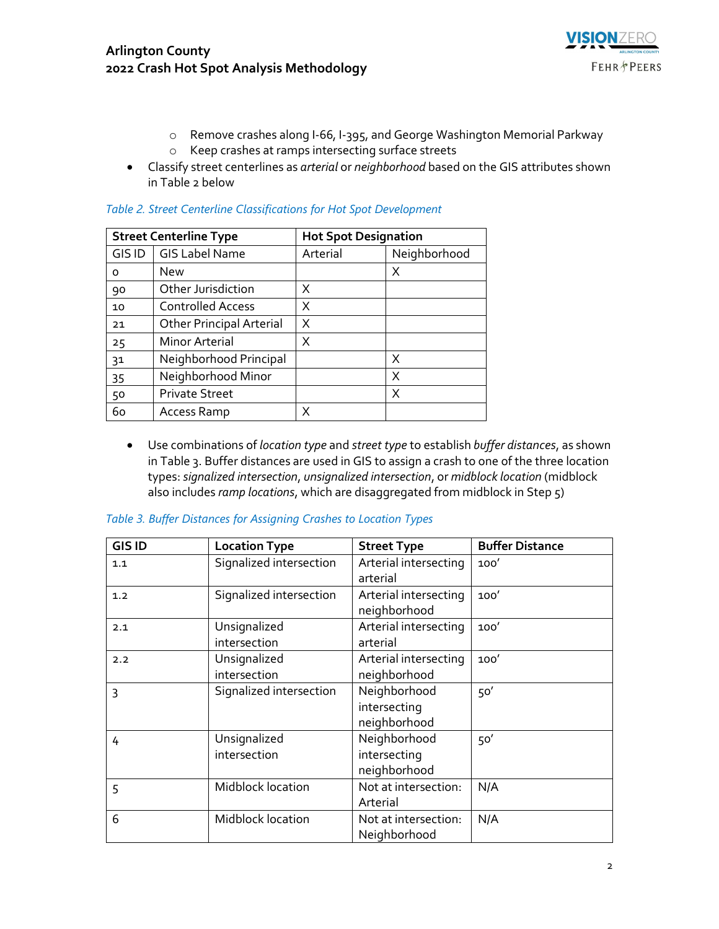

- o Remove crashes along I-66, I-395, and George Washington Memorial Parkway
- o Keep crashes at ramps intersecting surface streets
- Classify street centerlines as *arterial* or *neighborhood* based on the GIS attributes shown in Table 2 below

| <b>Street Centerline Type</b> |                                 | <b>Hot Spot Designation</b> |              |
|-------------------------------|---------------------------------|-----------------------------|--------------|
| GIS ID                        | <b>GIS Label Name</b>           | Arterial                    | Neighborhood |
| 0                             | <b>New</b>                      |                             | X            |
| 90                            | Other Jurisdiction              | X                           |              |
| 10                            | <b>Controlled Access</b>        | X                           |              |
| 21                            | <b>Other Principal Arterial</b> | X                           |              |
| 25                            | <b>Minor Arterial</b>           | X                           |              |
| 3 <sup>1</sup>                | Neighborhood Principal          |                             | X            |
| 35                            | Neighborhood Minor              |                             | X            |
| 50                            | <b>Private Street</b>           |                             | X            |
| 60                            | Access Ramp                     |                             |              |

#### *Table 2. Street Centerline Classifications for Hot Spot Development*

• Use combinations of *location type* and *street type* to establish *buffer distances*, as shown in Table 3. Buffer distances are used in GIS to assign a crash to one of the three location types:*signalized intersection*, *unsignalized intersection*, or *midblock location* (midblock also includes *ramp locations*, which are disaggregated from midblock in Step 5)

| <b>GIS ID</b> | <b>Location Type</b>         | <b>Street Type</b>                           | <b>Buffer Distance</b> |
|---------------|------------------------------|----------------------------------------------|------------------------|
| 1.1           | Signalized intersection      | Arterial intersecting<br>arterial            | 100'                   |
| 1.2           | Signalized intersection      | Arterial intersecting<br>neighborhood        | 100'                   |
| 2.1           | Unsignalized<br>intersection | Arterial intersecting<br>arterial            | 100'                   |
| 2.2           | Unsignalized<br>intersection | Arterial intersecting<br>neighborhood        | 100'                   |
| 3             | Signalized intersection      | Neighborhood<br>intersecting<br>neighborhood | 50'                    |
| 4             | Unsignalized<br>intersection | Neighborhood<br>intersecting<br>neighborhood | 50'                    |
| 5             | Midblock location            | Not at intersection:<br>Arterial             | N/A                    |
| 6             | Midblock location            | Not at intersection:<br>Neighborhood         | N/A                    |

#### *Table 3. Buffer Distances for Assigning Crashes to Location Types*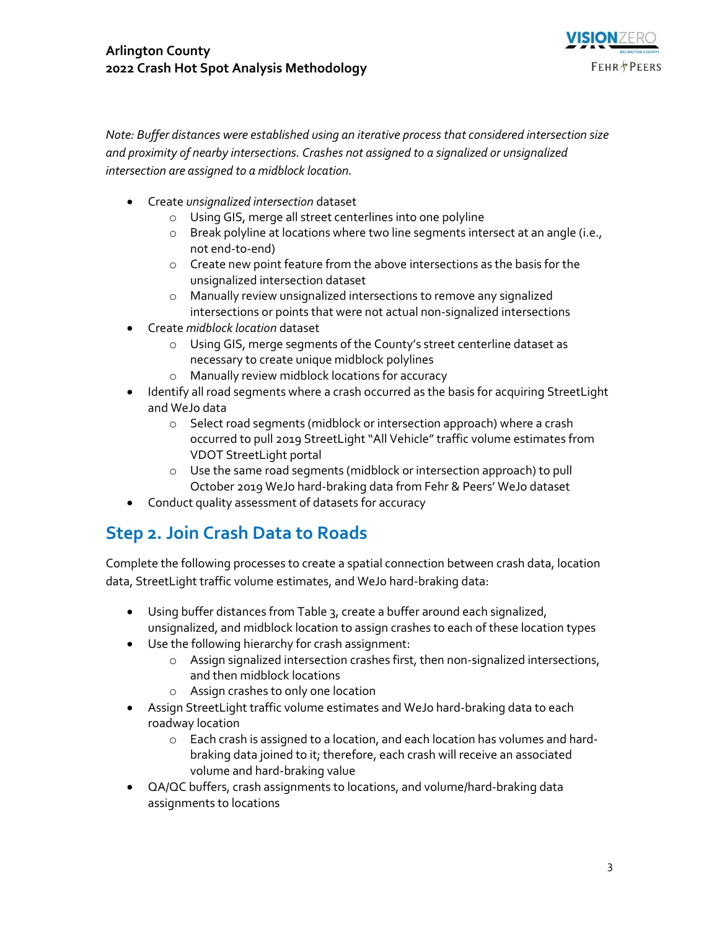

*Note: Buffer distances were established using an iterative process that considered intersection size and proximity of nearby intersections. Crashes not assigned to a signalized or unsignalized intersection are assigned to a midblock location.*

- Create *unsignalized intersection* dataset
	- o Using GIS, merge all street centerlines into one polyline
	- o Break polyline at locations where two line segments intersect at an angle (i.e., not end-to-end)
	- o Create new point feature from the above intersections as the basis for the unsignalized intersection dataset
	- o Manually review unsignalized intersections to remove any signalized intersections or points that were not actual non-signalized intersections
- Create *midblock location* dataset
	- o Using GIS, merge segments of the County's street centerline dataset as necessary to create unique midblock polylines
	- o Manually review midblock locations for accuracy
- Identify all road segments where a crash occurred as the basis for acquiring StreetLight and WeJo data
	- o Select road segments (midblock or intersection approach) where a crash occurred to pull 2019 StreetLight "All Vehicle" traffic volume estimates from VDOT StreetLight portal
	- o Use the same road segments (midblock or intersection approach) to pull October 2019 WeJo hard-braking data from Fehr & Peers' WeJo dataset
- Conduct quality assessment of datasets for accuracy

# **Step 2. Join Crash Data to Roads**

Complete the following processes to create a spatial connection between crash data, location data, StreetLight traffic volume estimates, and WeJo hard-braking data:

- Using buffer distances from Table 3, create a buffer around each signalized, unsignalized, and midblock location to assign crashes to each of these location types
- Use the following hierarchy for crash assignment:
	- o Assign signalized intersection crashes first, then non-signalized intersections, and then midblock locations
	- o Assign crashes to only one location
- Assign StreetLight traffic volume estimates and WeJo hard-braking data to each roadway location
	- o Each crash is assigned to a location, and each location has volumes and hardbraking data joined to it; therefore, each crash will receive an associated volume and hard-braking value
- QA/QC buffers, crash assignments to locations, and volume/hard-braking data assignments to locations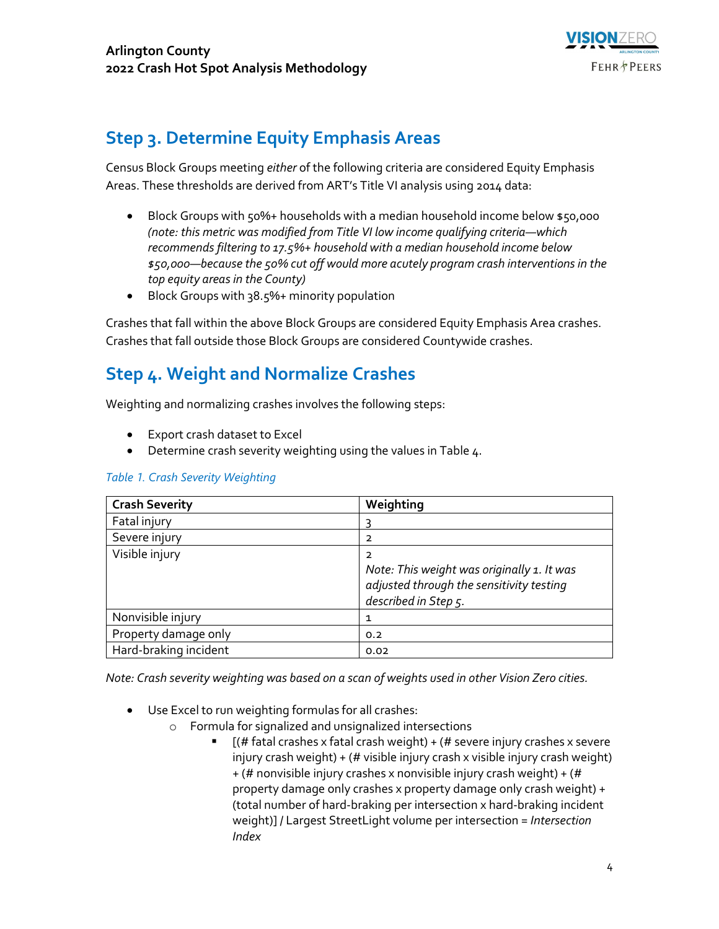

## **Step 3. Determine Equity Emphasis Areas**

Census Block Groups meeting *either* of the following criteria are considered Equity Emphasis Areas. These thresholds are derived from ART's Title VI analysis using 2014 data:

- Block Groups with 50%+ households with a median household income below \$50,000 *(note: this metric was modified from Title VI low income qualifying criteria—which recommends filtering to 17.5%+ household with a median household income below \$50,000—because the 50% cut off would more acutely program crash interventions in the top equity areas in the County)*
- Block Groups with 38.5%+ minority population

Crashes that fall within the above Block Groups are considered Equity Emphasis Area crashes. Crashes that fall outside those Block Groups are considered Countywide crashes.

### **Step 4. Weight and Normalize Crashes**

Weighting and normalizing crashes involves the following steps:

- Export crash dataset to Excel
- Determine crash severity weighting using the values in Table 4.

| <b>Crash Severity</b> | Weighting                                  |
|-----------------------|--------------------------------------------|
| Fatal injury          |                                            |
| Severe injury         | 2                                          |
| Visible injury        | 2                                          |
|                       | Note: This weight was originally 1. It was |
|                       | adjusted through the sensitivity testing   |
|                       | described in Step 5.                       |
| Nonvisible injury     | 1                                          |
| Property damage only  | 0.2                                        |
| Hard-braking incident | 0.02                                       |

#### *Table 1. Crash Severity Weighting*

*Note: Crash severity weighting was based on a scan of weights used in other Vision Zero cities.*

- Use Excel to run weighting formulas for all crashes:
	- o Formula for signalized and unsignalized intersections
		- $[(#$  fatal crashes x fatal crash weight) + ( $#$  severe injury crashes x severe injury crash weight) + (# visible injury crash x visible injury crash weight) + (# nonvisible injury crashes x nonvisible injury crash weight) + (# property damage only crashes x property damage only crash weight) + (total number of hard-braking per intersection x hard-braking incident weight)] / Largest StreetLight volume per intersection = *Intersection Index*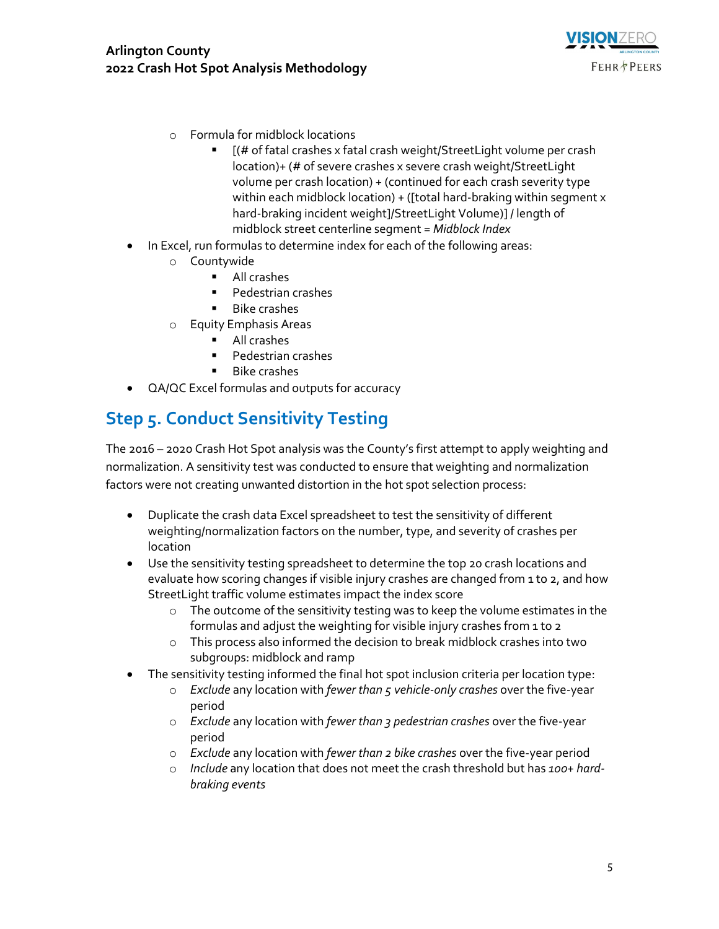

- o Formula for midblock locations
	- $[(# of fatal crashes x fatal crash weak)$  weight/StreetLight volume per crash location)+ (# of severe crashes x severe crash weight/StreetLight volume per crash location) + (continued for each crash severity type within each midblock location) + ([total hard-braking within segment x hard-braking incident weight]/StreetLight Volume)] / length of midblock street centerline segment = *Midblock Index*
- In Excel, run formulas to determine index for each of the following areas:
	- o Countywide
		- All crashes
		- Pedestrian crashes
		- Bike crashes
	- o Equity Emphasis Areas
		- All crashes
		- Pedestrian crashes
		- Bike crashes
- QA/QC Excel formulas and outputs for accuracy

# **Step 5. Conduct Sensitivity Testing**

The 2016 – 2020 Crash Hot Spot analysis was the County's first attempt to apply weighting and normalization. A sensitivity test was conducted to ensure that weighting and normalization factors were not creating unwanted distortion in the hot spot selection process:

- Duplicate the crash data Excel spreadsheet to test the sensitivity of different weighting/normalization factors on the number, type, and severity of crashes per location
- Use the sensitivity testing spreadsheet to determine the top 20 crash locations and evaluate how scoring changes if visible injury crashes are changed from 1 to 2, and how StreetLight traffic volume estimates impact the index score
	- $\circ$  The outcome of the sensitivity testing was to keep the volume estimates in the formulas and adjust the weighting for visible injury crashes from 1 to 2
	- o This process also informed the decision to break midblock crashes into two subgroups: midblock and ramp
- The sensitivity testing informed the final hot spot inclusion criteria per location type:
	- o *Exclude* any location with *fewer than 5 vehicle-only crashes* over the five-year period
	- o *Exclude* any location with *fewer than 3 pedestrian crashes* over the five-year period
	- o *Exclude* any location with *fewer than 2 bike crashes* over the five-year period
	- o *Include* any location that does not meet the crash threshold but has *100+ hardbraking events*